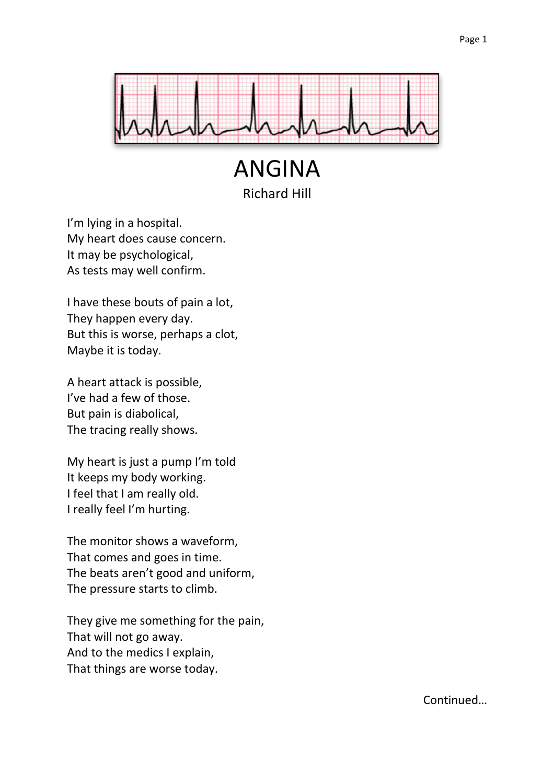

ANGINA Richard Hill

I'm lying in a hospital. My heart does cause concern. It may be psychological, As tests may well confirm.

I have these bouts of pain a lot, They happen every day. But this is worse, perhaps a clot, Maybe it is today.

A heart attack is possible, I've had a few of those. But pain is diabolical, The tracing really shows.

My heart is just a pump I'm told It keeps my body working. I feel that I am really old. I really feel I'm hurting.

The monitor shows a waveform, That comes and goes in time. The beats aren't good and uniform, The pressure starts to climb.

They give me something for the pain, That will not go away. And to the medics I explain, That things are worse today.

Continued…